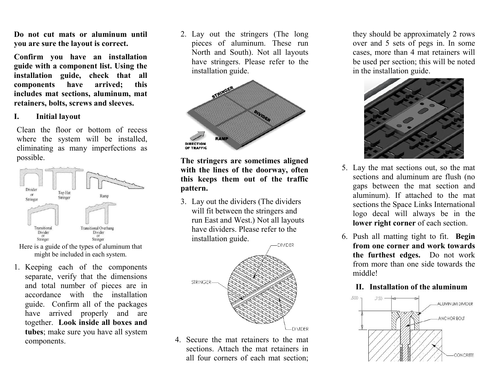Do not cut mats or aluminum until you are sure the layout is correct.

Confirm you have an installation guide with a component list. Using the installation guide, check that all components have arrived; this includes mat sections, aluminum, mat retainers, bolts, screws and sleeves.

## I.Initial layout

Clean the floor or bottom of recess where the system will be installed, eliminating as many imperfections as possible.



Here is a guide of the types of aluminum that might be included in each system.

1. Keeping each of the components separate, verify that the dimensions and total number of pieces are in accordance with the installation guide. Confirm all of the packages have arrived properly and are together. Look inside all boxes and tubes; make sure you have all system components.

2. Lay out the stringers (The long pieces of aluminum. These run North and South). Not all layouts have stringers. Please refer to the installation guide.



The stringers are sometimes aligned with the lines of the doorway, often this keeps them out of the traffic pattern.

3. Lay out the dividers (The dividers will fit between the stringers and run East and West.) Not all layouts have dividers. Please refer to the installation guide.



4. Secure the mat retainers to the mat sections. Attach the mat retainers in all four corners of each mat section; they should be approximately 2 rows over and 5 sets of pegs in. In some cases, more than 4 mat retainers will be used per section; this will be noted in the installation guide.



- 5. Lay the mat sections out, so the mat sections and aluminum are flush (no gaps between the mat section and aluminum). If attached to the mat sections the Space Links International logo decal will always be in the lower right corner of each section.
- 6. Push all matting tight to fit. Begin from one corner and work towards the furthest edges. Do not work from more than one side towards the middle!

## II. Installation of the aluminum